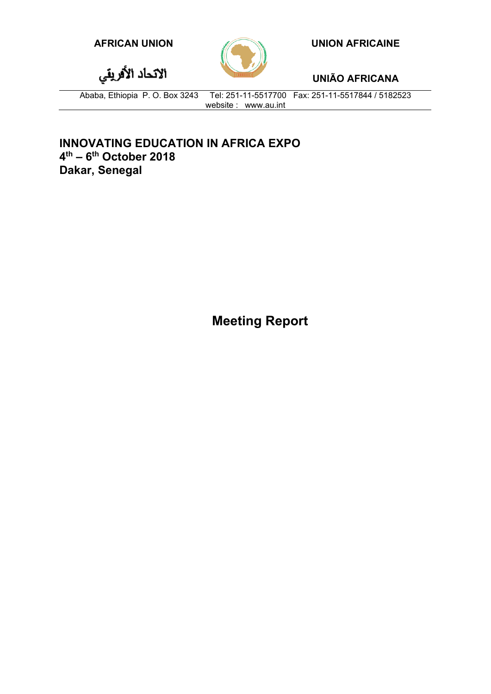

**AFRICAN UNION UNION AFRICAINE**

**UNIÃO AFRICANA**

الاتحاد الأقريقي

Ababa, Ethiopia P. O. Box 3243 Tel: 251-11-5517700 Fax: 251-11-5517844 / 5182523 website : www.au.int

**INNOVATING EDUCATION IN AFRICA EXPO 4th – 6th October 2018 Dakar, Senegal**

**Meeting Report**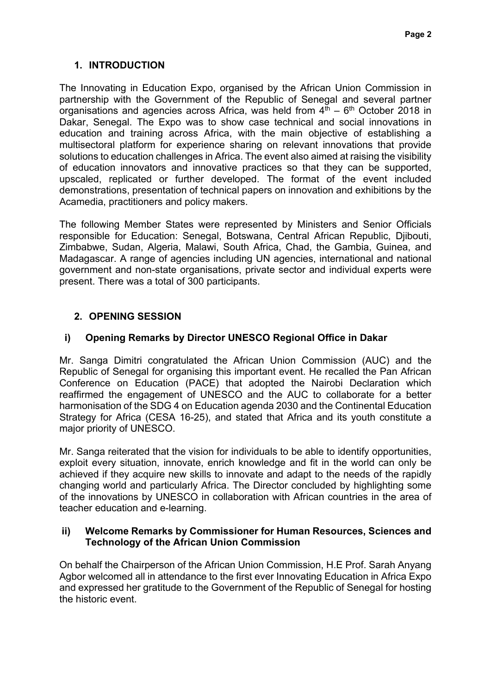# **1. INTRODUCTION**

The Innovating in Education Expo, organised by the African Union Commission in partnership with the Government of the Republic of Senegal and several partner organisations and agencies across Africa, was held from  $4<sup>th</sup> - 6<sup>th</sup>$  October 2018 in Dakar, Senegal. The Expo was to show case technical and social innovations in education and training across Africa, with the main objective of establishing a multisectoral platform for experience sharing on relevant innovations that provide solutions to education challenges in Africa. The event also aimed at raising the visibility of education innovators and innovative practices so that they can be supported, upscaled, replicated or further developed. The format of the event included demonstrations, presentation of technical papers on innovation and exhibitions by the Acamedia, practitioners and policy makers.

The following Member States were represented by Ministers and Senior Officials responsible for Education: Senegal, Botswana, Central African Republic, Djibouti, Zimbabwe, Sudan, Algeria, Malawi, South Africa, Chad, the Gambia, Guinea, and Madagascar. A range of agencies including UN agencies, international and national government and non-state organisations, private sector and individual experts were present. There was a total of 300 participants.

# **2. OPENING SESSION**

### **i) Opening Remarks by Director UNESCO Regional Office in Dakar**

Mr. Sanga Dimitri congratulated the African Union Commission (AUC) and the Republic of Senegal for organising this important event. He recalled the Pan African Conference on Education (PACE) that adopted the Nairobi Declaration which reaffirmed the engagement of UNESCO and the AUC to collaborate for a better harmonisation of the SDG 4 on Education agenda 2030 and the Continental Education Strategy for Africa (CESA 16-25), and stated that Africa and its youth constitute a major priority of UNESCO.

Mr. Sanga reiterated that the vision for individuals to be able to identify opportunities, exploit every situation, innovate, enrich knowledge and fit in the world can only be achieved if they acquire new skills to innovate and adapt to the needs of the rapidly changing world and particularly Africa. The Director concluded by highlighting some of the innovations by UNESCO in collaboration with African countries in the area of teacher education and e-learning.

#### **ii) Welcome Remarks by Commissioner for Human Resources, Sciences and Technology of the African Union Commission**

On behalf the Chairperson of the African Union Commission, H.E Prof. Sarah Anyang Agbor welcomed all in attendance to the first ever Innovating Education in Africa Expo and expressed her gratitude to the Government of the Republic of Senegal for hosting the historic event.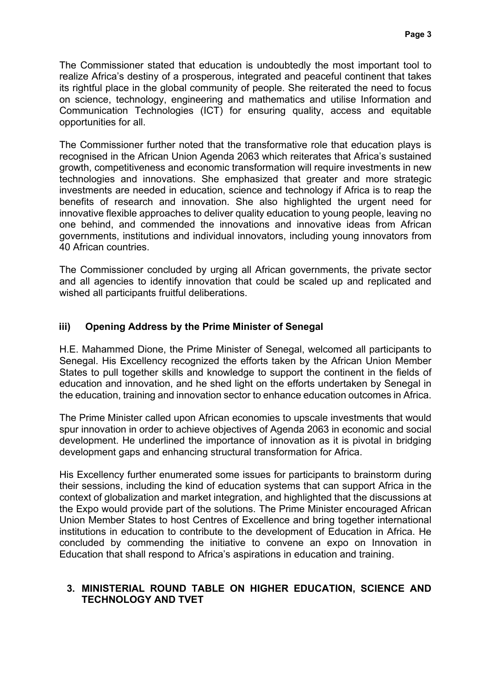The Commissioner stated that education is undoubtedly the most important tool to realize Africa's destiny of a prosperous, integrated and peaceful continent that takes its rightful place in the global community of people. She reiterated the need to focus on science, technology, engineering and mathematics and utilise Information and Communication Technologies (ICT) for ensuring quality, access and equitable opportunities for all.

The Commissioner further noted that the transformative role that education plays is recognised in the African Union Agenda 2063 which reiterates that Africa's sustained growth, competitiveness and economic transformation will require investments in new technologies and innovations. She emphasized that greater and more strategic investments are needed in education, science and technology if Africa is to reap the benefits of research and innovation. She also highlighted the urgent need for innovative flexible approaches to deliver quality education to young people, leaving no one behind, and commended the innovations and innovative ideas from African governments, institutions and individual innovators, including young innovators from 40 African countries.

The Commissioner concluded by urging all African governments, the private sector and all agencies to identify innovation that could be scaled up and replicated and wished all participants fruitful deliberations.

#### **iii) Opening Address by the Prime Minister of Senegal**

H.E. Mahammed Dione, the Prime Minister of Senegal, welcomed all participants to Senegal. His Excellency recognized the efforts taken by the African Union Member States to pull together skills and knowledge to support the continent in the fields of education and innovation, and he shed light on the efforts undertaken by Senegal in the education, training and innovation sector to enhance education outcomes in Africa.

The Prime Minister called upon African economies to upscale investments that would spur innovation in order to achieve objectives of Agenda 2063 in economic and social development. He underlined the importance of innovation as it is pivotal in bridging development gaps and enhancing structural transformation for Africa.

His Excellency further enumerated some issues for participants to brainstorm during their sessions, including the kind of education systems that can support Africa in the context of globalization and market integration, and highlighted that the discussions at the Expo would provide part of the solutions. The Prime Minister encouraged African Union Member States to host Centres of Excellence and bring together international institutions in education to contribute to the development of Education in Africa. He concluded by commending the initiative to convene an expo on Innovation in Education that shall respond to Africa's aspirations in education and training.

#### **3. MINISTERIAL ROUND TABLE ON HIGHER EDUCATION, SCIENCE AND TECHNOLOGY AND TVET**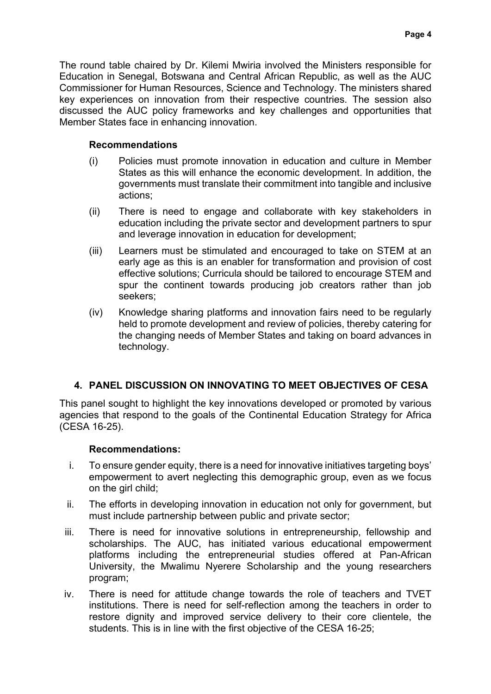The round table chaired by Dr. Kilemi Mwiria involved the Ministers responsible for Education in Senegal, Botswana and Central African Republic, as well as the AUC Commissioner for Human Resources, Science and Technology. The ministers shared key experiences on innovation from their respective countries. The session also discussed the AUC policy frameworks and key challenges and opportunities that Member States face in enhancing innovation.

### **Recommendations**

- (i) Policies must promote innovation in education and culture in Member States as this will enhance the economic development. In addition, the governments must translate their commitment into tangible and inclusive actions;
- (ii) There is need to engage and collaborate with key stakeholders in education including the private sector and development partners to spur and leverage innovation in education for development;
- (iii) Learners must be stimulated and encouraged to take on STEM at an early age as this is an enabler for transformation and provision of cost effective solutions; Curricula should be tailored to encourage STEM and spur the continent towards producing job creators rather than job seekers;
- (iv) Knowledge sharing platforms and innovation fairs need to be regularly held to promote development and review of policies, thereby catering for the changing needs of Member States and taking on board advances in technology.

# **4. PANEL DISCUSSION ON INNOVATING TO MEET OBJECTIVES OF CESA**

This panel sought to highlight the key innovations developed or promoted by various agencies that respond to the goals of the Continental Education Strategy for Africa (CESA 16-25).

### **Recommendations:**

- i. To ensure gender equity, there is a need for innovative initiatives targeting boys' empowerment to avert neglecting this demographic group, even as we focus on the girl child;
- ii. The efforts in developing innovation in education not only for government, but must include partnership between public and private sector;
- iii. There is need for innovative solutions in entrepreneurship, fellowship and scholarships. The AUC, has initiated various educational empowerment platforms including the entrepreneurial studies offered at Pan-African University, the Mwalimu Nyerere Scholarship and the young researchers program;
- iv. There is need for attitude change towards the role of teachers and TVET institutions. There is need for self-reflection among the teachers in order to restore dignity and improved service delivery to their core clientele, the students. This is in line with the first objective of the CESA 16-25;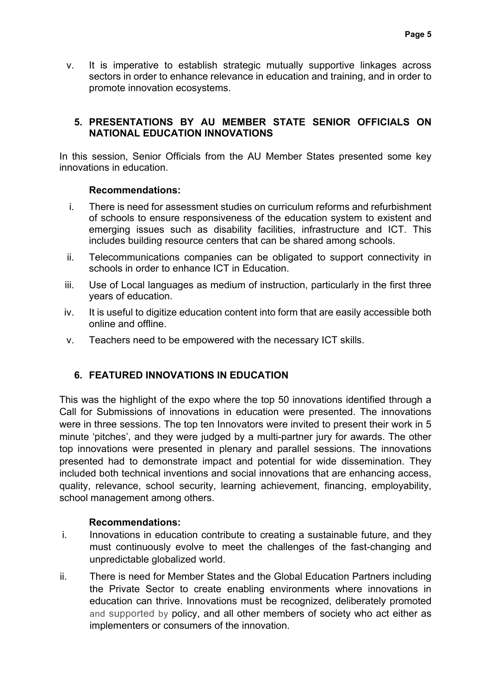v. It is imperative to establish strategic mutually supportive linkages across sectors in order to enhance relevance in education and training, and in order to promote innovation ecosystems.

### **5. PRESENTATIONS BY AU MEMBER STATE SENIOR OFFICIALS ON NATIONAL EDUCATION INNOVATIONS**

In this session, Senior Officials from the AU Member States presented some key innovations in education.

#### **Recommendations:**

- i. There is need for assessment studies on curriculum reforms and refurbishment of schools to ensure responsiveness of the education system to existent and emerging issues such as disability facilities, infrastructure and ICT. This includes building resource centers that can be shared among schools.
- ii. Telecommunications companies can be obligated to support connectivity in schools in order to enhance ICT in Education.
- iii. Use of Local languages as medium of instruction, particularly in the first three years of education.
- iv. It is useful to digitize education content into form that are easily accessible both online and offline.
- v. Teachers need to be empowered with the necessary ICT skills.

### **6. FEATURED INNOVATIONS IN EDUCATION**

This was the highlight of the expo where the top 50 innovations identified through a Call for Submissions of innovations in education were presented. The innovations were in three sessions. The top ten Innovators were invited to present their work in 5 minute 'pitches', and they were judged by a multi-partner jury for awards. The other top innovations were presented in plenary and parallel sessions. The innovations presented had to demonstrate impact and potential for wide dissemination. They included both technical inventions and social innovations that are enhancing access, quality, relevance, school security, learning achievement, financing, employability, school management among others.

#### **Recommendations:**

- i. Innovations in education contribute to creating a sustainable future, and they must continuously evolve to meet the challenges of the fast-changing and unpredictable globalized world.
- ii. There is need for Member States and the Global Education Partners including the Private Sector to create enabling environments where innovations in education can thrive. Innovations must be recognized, deliberately promoted and supported by policy, and all other members of society who act either as implementers or consumers of the innovation.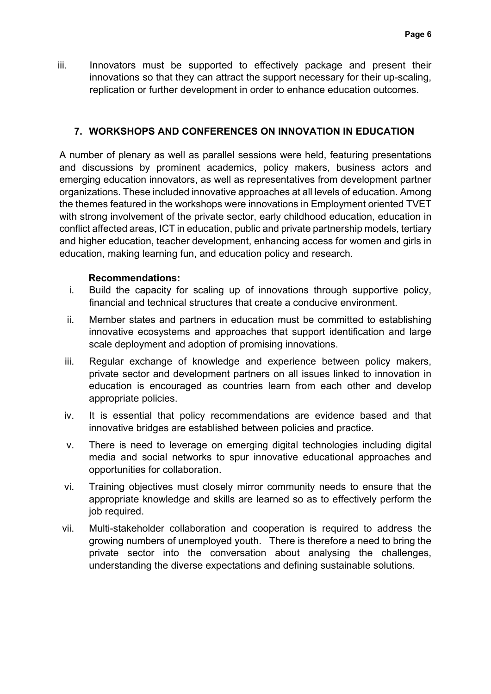iii. Innovators must be supported to effectively package and present their innovations so that they can attract the support necessary for their up-scaling, replication or further development in order to enhance education outcomes.

### **7. WORKSHOPS AND CONFERENCES ON INNOVATION IN EDUCATION**

A number of plenary as well as parallel sessions were held, featuring presentations and discussions by prominent academics, policy makers, business actors and emerging education innovators, as well as representatives from development partner organizations. These included innovative approaches at all levels of education. Among the themes featured in the workshops were innovations in Employment oriented TVET with strong involvement of the private sector, early childhood education, education in conflict affected areas, ICT in education, public and private partnership models, tertiary and higher education, teacher development, enhancing access for women and girls in education, making learning fun, and education policy and research.

#### **Recommendations:**

- i. Build the capacity for scaling up of innovations through supportive policy, financial and technical structures that create a conducive environment.
- ii. Member states and partners in education must be committed to establishing innovative ecosystems and approaches that support identification and large scale deployment and adoption of promising innovations.
- iii. Regular exchange of knowledge and experience between policy makers, private sector and development partners on all issues linked to innovation in education is encouraged as countries learn from each other and develop appropriate policies.
- iv. It is essential that policy recommendations are evidence based and that innovative bridges are established between policies and practice.
- v. There is need to leverage on emerging digital technologies including digital media and social networks to spur innovative educational approaches and opportunities for collaboration.
- vi. Training objectives must closely mirror community needs to ensure that the appropriate knowledge and skills are learned so as to effectively perform the job required.
- vii. Multi-stakeholder collaboration and cooperation is required to address the growing numbers of unemployed youth. There is therefore a need to bring the private sector into the conversation about analysing the challenges, understanding the diverse expectations and defining sustainable solutions.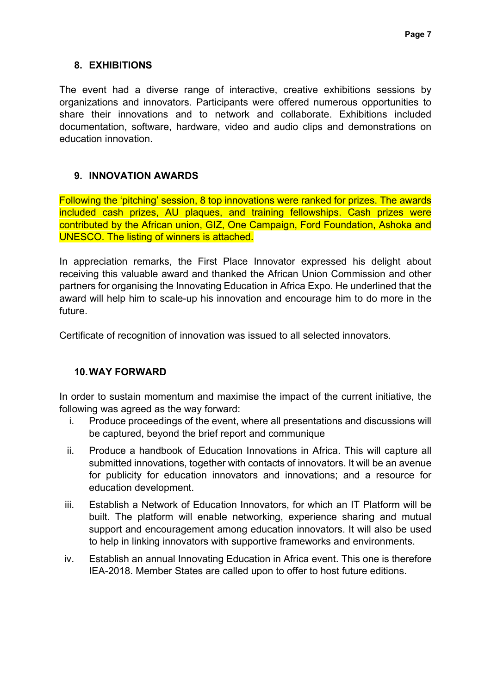#### **8. EXHIBITIONS**

The event had a diverse range of interactive, creative exhibitions sessions by organizations and innovators. Participants were offered numerous opportunities to share their innovations and to network and collaborate. Exhibitions included documentation, software, hardware, video and audio clips and demonstrations on education innovation.

### **9. INNOVATION AWARDS**

Following the 'pitching' session, 8 top innovations were ranked for prizes. The awards included cash prizes, AU plaques, and training fellowships. Cash prizes were contributed by the African union, GIZ, One Campaign, Ford Foundation, Ashoka and UNESCO. The listing of winners is attached.

In appreciation remarks, the First Place Innovator expressed his delight about receiving this valuable award and thanked the African Union Commission and other partners for organising the Innovating Education in Africa Expo. He underlined that the award will help him to scale-up his innovation and encourage him to do more in the future.

Certificate of recognition of innovation was issued to all selected innovators.

### **10.WAY FORWARD**

In order to sustain momentum and maximise the impact of the current initiative, the following was agreed as the way forward:

- i. Produce proceedings of the event, where all presentations and discussions will be captured, beyond the brief report and communique
- ii. Produce a handbook of Education Innovations in Africa. This will capture all submitted innovations, together with contacts of innovators. It will be an avenue for publicity for education innovators and innovations; and a resource for education development.
- iii. Establish a Network of Education Innovators, for which an IT Platform will be built. The platform will enable networking, experience sharing and mutual support and encouragement among education innovators. It will also be used to help in linking innovators with supportive frameworks and environments.
- iv. Establish an annual Innovating Education in Africa event. This one is therefore IEA-2018. Member States are called upon to offer to host future editions.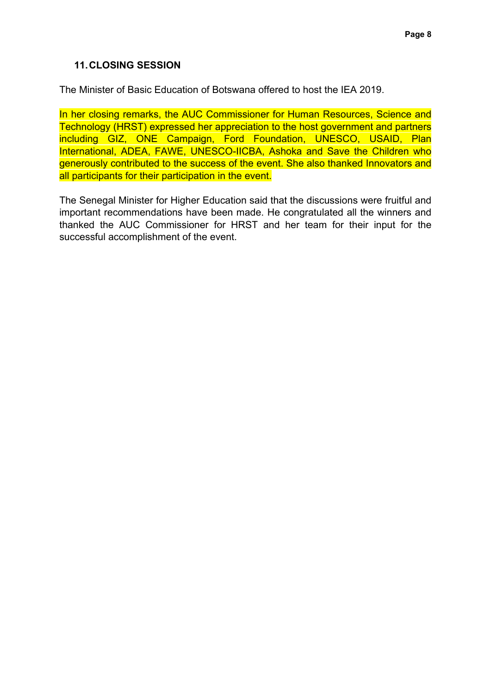#### **11.CLOSING SESSION**

The Minister of Basic Education of Botswana offered to host the IEA 2019.

In her closing remarks, the AUC Commissioner for Human Resources, Science and Technology (HRST) expressed her appreciation to the host government and partners including GIZ, ONE Campaign, Ford Foundation, UNESCO, USAID, Plan International, ADEA, FAWE, UNESCO-IICBA, Ashoka and Save the Children who generously contributed to the success of the event. She also thanked Innovators and all participants for their participation in the event.

The Senegal Minister for Higher Education said that the discussions were fruitful and important recommendations have been made. He congratulated all the winners and thanked the AUC Commissioner for HRST and her team for their input for the successful accomplishment of the event.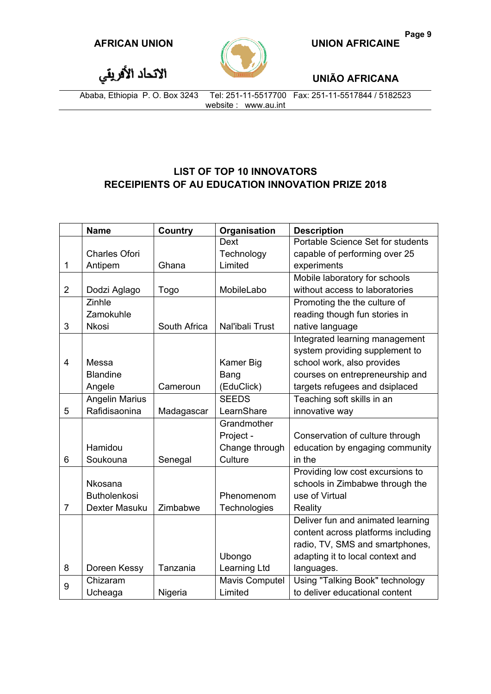

**UNIÃO AFRICANA**

الاتحاد الأفريقي

Ababa, Ethiopia P. O. Box 3243 Tel: 251-11-5517700 Fax: 251-11-5517844 / 5182523 website : www.au.int

# **LIST OF TOP 10 INNOVATORS RECEIPIENTS OF AU EDUCATION INNOVATION PRIZE 2018**

|                | <b>Name</b>           | Country      | Organisation          | <b>Description</b>                 |
|----------------|-----------------------|--------------|-----------------------|------------------------------------|
|                |                       |              | Dext                  | Portable Science Set for students  |
|                | <b>Charles Ofori</b>  |              | Technology            | capable of performing over 25      |
| $\mathbf{1}$   | Antipem               | Ghana        | Limited               | experiments                        |
|                |                       |              |                       | Mobile laboratory for schools      |
| $\overline{2}$ | Dodzi Aglago          | Togo         | MobileLabo            | without access to laboratories     |
|                | Zinhle                |              |                       | Promoting the the culture of       |
|                | Zamokuhle             |              |                       | reading though fun stories in      |
| 3              | <b>Nkosi</b>          | South Africa | Nal'ibali Trust       | native language                    |
|                |                       |              |                       | Integrated learning management     |
|                |                       |              |                       | system providing supplement to     |
| $\overline{4}$ | Messa                 |              | <b>Kamer Big</b>      | school work, also provides         |
|                | <b>Blandine</b>       |              | Bang                  | courses on entrepreneurship and    |
|                | Angele                | Cameroun     | (EduClick)            | targets refugees and dsiplaced     |
|                | <b>Angelin Marius</b> |              | <b>SEEDS</b>          | Teaching soft skills in an         |
| 5              | Rafidisaonina         | Madagascar   | LearnShare            | innovative way                     |
|                |                       |              | Grandmother           |                                    |
|                |                       |              | Project -             | Conservation of culture through    |
|                | Hamidou               |              | Change through        | education by engaging community    |
| 6              | Soukouna              | Senegal      | Culture               | in the                             |
|                |                       |              |                       | Providing low cost excursions to   |
|                | Nkosana               |              |                       | schools in Zimbabwe through the    |
|                | <b>Butholenkosi</b>   |              | Phenomenom            | use of Virtual                     |
| $\overline{7}$ | Dexter Masuku         | Zimbabwe     | Technologies          | Reality                            |
|                |                       |              |                       | Deliver fun and animated learning  |
|                |                       |              |                       | content across platforms including |
|                |                       |              |                       | radio, TV, SMS and smartphones,    |
|                |                       |              | Ubongo                | adapting it to local context and   |
| 8              | Doreen Kessy          | Tanzania     | Learning Ltd          | languages.                         |
| 9              | Chizaram              |              | <b>Mavis Computel</b> | Using "Talking Book" technology    |
|                | Ucheaga               | Nigeria      | Limited               | to deliver educational content     |